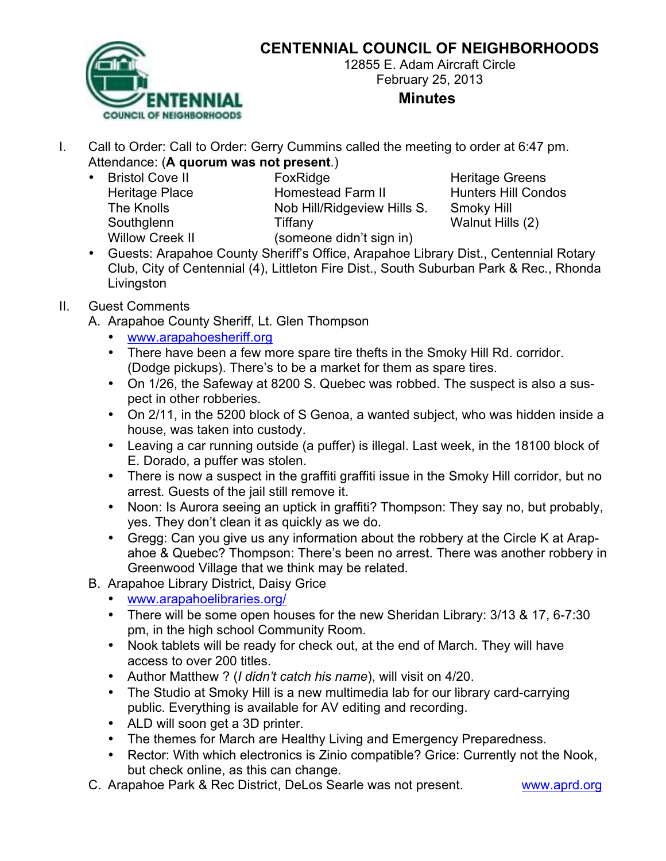# **CENTENNIAL COUNCIL OF NEIGHBORHOODS**



12855 E. Adam Aircraft Circle February 25, 2013

#### **Minutes**

- I. Call to Order: Call to Order: Gerry Cummins called the meeting to order at 6:47 pm. Attendance: (**A quorum was not present**.)
	- Willow Creek II (someone didn't sign in)

• Bristol Cove II FoxRidge **Foxes Executed Figure 1** Heritage Greens Heritage Place **Homestead Farm II** Hunters Hill Condos The Knolls Nob Hill/Ridgeview Hills S. Smoky Hill Southglenn Tiffany Tiffany Walnut Hills (2)

• Guests: Arapahoe County Sheriff's Office, Arapahoe Library Dist., Centennial Rotary Club, City of Centennial (4), Littleton Fire Dist., South Suburban Park & Rec., Rhonda **Livingston** 

#### II. Guest Comments

- A. Arapahoe County Sheriff, Lt. Glen Thompson
	- www.arapahoesheriff.org
	- There have been a few more spare tire thefts in the Smoky Hill Rd. corridor. (Dodge pickups). There's to be a market for them as spare tires.
	- On 1/26, the Safeway at 8200 S. Quebec was robbed. The suspect is also a suspect in other robberies.
	- On 2/11, in the 5200 block of S Genoa, a wanted subject, who was hidden inside a house, was taken into custody.
	- Leaving a car running outside (a puffer) is illegal. Last week, in the 18100 block of E. Dorado, a puffer was stolen.
	- There is now a suspect in the graffiti graffiti issue in the Smoky Hill corridor, but no arrest. Guests of the jail still remove it.
	- Noon: Is Aurora seeing an uptick in graffiti? Thompson: They say no, but probably, yes. They don't clean it as quickly as we do.
	- Gregg: Can you give us any information about the robbery at the Circle K at Arapahoe & Quebec? Thompson: There's been no arrest. There was another robbery in Greenwood Village that we think may be related.
- B. Arapahoe Library District, Daisy Grice
	- www.arapahoelibraries.org/
	- There will be some open houses for the new Sheridan Library: 3/13 & 17, 6-7:30 pm, in the high school Community Room.
	- Nook tablets will be ready for check out, at the end of March. They will have access to over 200 titles.
	- Author Matthew ? (*I didn't catch his name*), will visit on 4/20.
	- The Studio at Smoky Hill is a new multimedia lab for our library card-carrying public. Everything is available for AV editing and recording.
	- ALD will soon get a 3D printer.
	- The themes for March are Healthy Living and Emergency Preparedness.
	- Rector: With which electronics is Zinio compatible? Grice: Currently not the Nook, but check online, as this can change.
- C. Arapahoe Park & Rec District, DeLos Searle was not present. www.aprd.org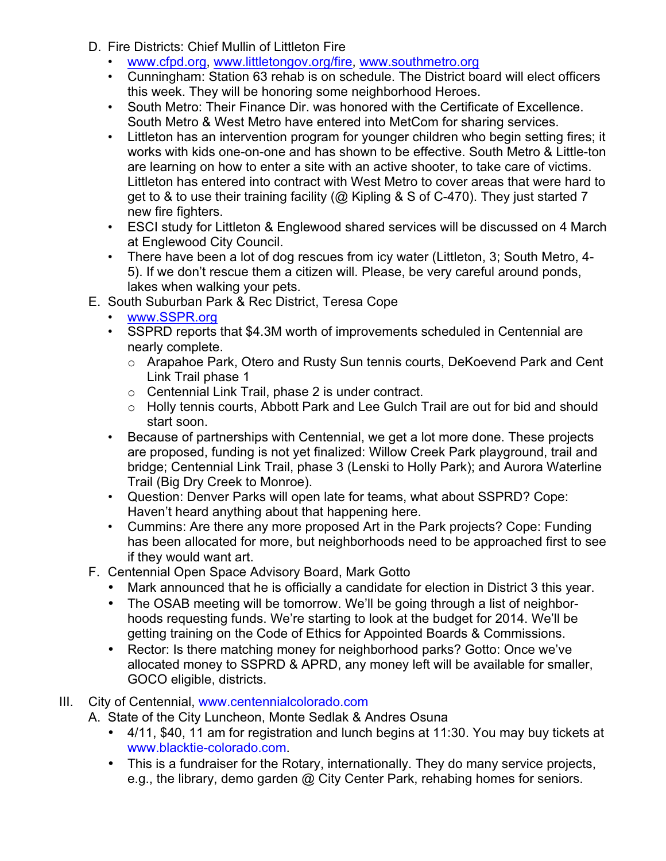- D. Fire Districts: Chief Mullin of Littleton Fire
	- www.cfpd.org, www.littletongov.org/fire, www.southmetro.org
	- Cunningham: Station 63 rehab is on schedule. The District board will elect officers this week. They will be honoring some neighborhood Heroes.
	- South Metro: Their Finance Dir. was honored with the Certificate of Excellence. South Metro & West Metro have entered into MetCom for sharing services.
	- Littleton has an intervention program for younger children who begin setting fires; it works with kids one-on-one and has shown to be effective. South Metro & Little-ton are learning on how to enter a site with an active shooter, to take care of victims. Littleton has entered into contract with West Metro to cover areas that were hard to get to & to use their training facility ( $@$  Kipling & S of C-470). They just started 7 new fire fighters.
	- ESCI study for Littleton & Englewood shared services will be discussed on 4 March at Englewood City Council.
	- There have been a lot of dog rescues from icy water (Littleton, 3; South Metro, 4- 5). If we don't rescue them a citizen will. Please, be very careful around ponds, lakes when walking your pets.
- E. South Suburban Park & Rec District, Teresa Cope
	- www.SSPR.org
	- SSPRD reports that \$4.3M worth of improvements scheduled in Centennial are nearly complete.
		- o Arapahoe Park, Otero and Rusty Sun tennis courts, DeKoevend Park and Cent Link Trail phase 1
		- o Centennial Link Trail, phase 2 is under contract.
		- o Holly tennis courts, Abbott Park and Lee Gulch Trail are out for bid and should start soon.
	- Because of partnerships with Centennial, we get a lot more done. These projects are proposed, funding is not yet finalized: Willow Creek Park playground, trail and bridge; Centennial Link Trail, phase 3 (Lenski to Holly Park); and Aurora Waterline Trail (Big Dry Creek to Monroe).
	- Question: Denver Parks will open late for teams, what about SSPRD? Cope: Haven't heard anything about that happening here.
	- Cummins: Are there any more proposed Art in the Park projects? Cope: Funding has been allocated for more, but neighborhoods need to be approached first to see if they would want art.
- F. Centennial Open Space Advisory Board, Mark Gotto
	- Mark announced that he is officially a candidate for election in District 3 this year.
	- The OSAB meeting will be tomorrow. We'll be going through a list of neighborhoods requesting funds. We're starting to look at the budget for 2014. We'll be getting training on the Code of Ethics for Appointed Boards & Commissions.
	- Rector: Is there matching money for neighborhood parks? Gotto: Once we've allocated money to SSPRD & APRD, any money left will be available for smaller, GOCO eligible, districts.
- III. City of Centennial, www.centennialcolorado.com
	- A. State of the City Luncheon, Monte Sedlak & Andres Osuna
		- 4/11, \$40, 11 am for registration and lunch begins at 11:30. You may buy tickets at www.blacktie-colorado.com.
		- This is a fundraiser for the Rotary, internationally. They do many service projects, e.g., the library, demo garden @ City Center Park, rehabing homes for seniors.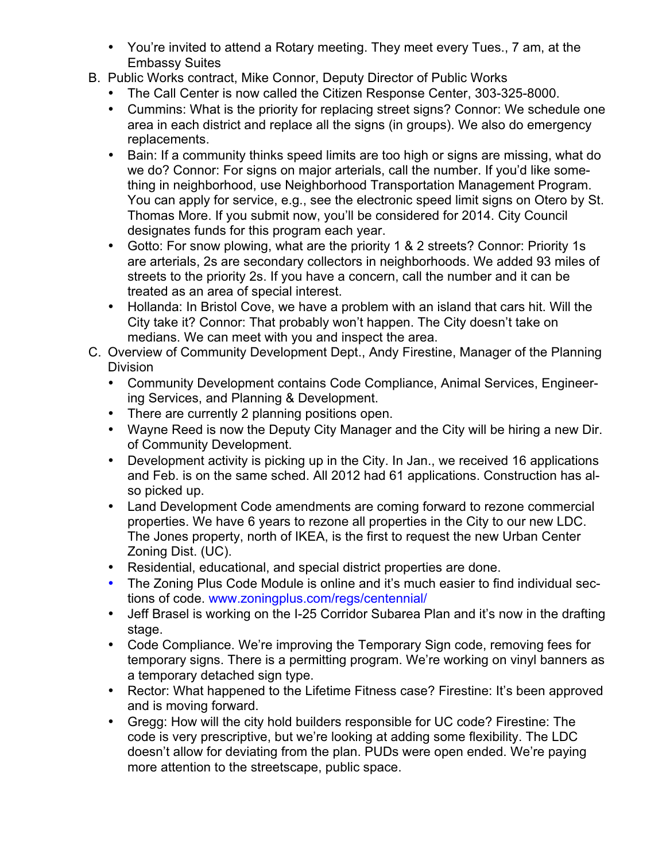- You're invited to attend a Rotary meeting. They meet every Tues., 7 am, at the Embassy Suites
- B. Public Works contract, Mike Connor, Deputy Director of Public Works
	- The Call Center is now called the Citizen Response Center, 303-325-8000.
	- Cummins: What is the priority for replacing street signs? Connor: We schedule one area in each district and replace all the signs (in groups). We also do emergency replacements.
	- Bain: If a community thinks speed limits are too high or signs are missing, what do we do? Connor: For signs on major arterials, call the number. If you'd like something in neighborhood, use Neighborhood Transportation Management Program. You can apply for service, e.g., see the electronic speed limit signs on Otero by St. Thomas More. If you submit now, you'll be considered for 2014. City Council designates funds for this program each year.
	- Gotto: For snow plowing, what are the priority 1 & 2 streets? Connor: Priority 1s are arterials, 2s are secondary collectors in neighborhoods. We added 93 miles of streets to the priority 2s. If you have a concern, call the number and it can be treated as an area of special interest.
	- Hollanda: In Bristol Cove, we have a problem with an island that cars hit. Will the City take it? Connor: That probably won't happen. The City doesn't take on medians. We can meet with you and inspect the area.
- C. Overview of Community Development Dept., Andy Firestine, Manager of the Planning Division
	- Community Development contains Code Compliance, Animal Services, Engineering Services, and Planning & Development.
	- There are currently 2 planning positions open.
	- Wayne Reed is now the Deputy City Manager and the City will be hiring a new Dir. of Community Development.
	- Development activity is picking up in the City. In Jan., we received 16 applications and Feb. is on the same sched. All 2012 had 61 applications. Construction has also picked up.
	- Land Development Code amendments are coming forward to rezone commercial properties. We have 6 years to rezone all properties in the City to our new LDC. The Jones property, north of IKEA, is the first to request the new Urban Center Zoning Dist. (UC).
	- Residential, educational, and special district properties are done.
	- The Zoning Plus Code Module is online and it's much easier to find individual sections of code. www.zoningplus.com/regs/centennial/
	- Jeff Brasel is working on the I-25 Corridor Subarea Plan and it's now in the drafting stage.
	- Code Compliance. We're improving the Temporary Sign code, removing fees for temporary signs. There is a permitting program. We're working on vinyl banners as a temporary detached sign type.
	- Rector: What happened to the Lifetime Fitness case? Firestine: It's been approved and is moving forward.
	- Gregg: How will the city hold builders responsible for UC code? Firestine: The code is very prescriptive, but we're looking at adding some flexibility. The LDC doesn't allow for deviating from the plan. PUDs were open ended. We're paying more attention to the streetscape, public space.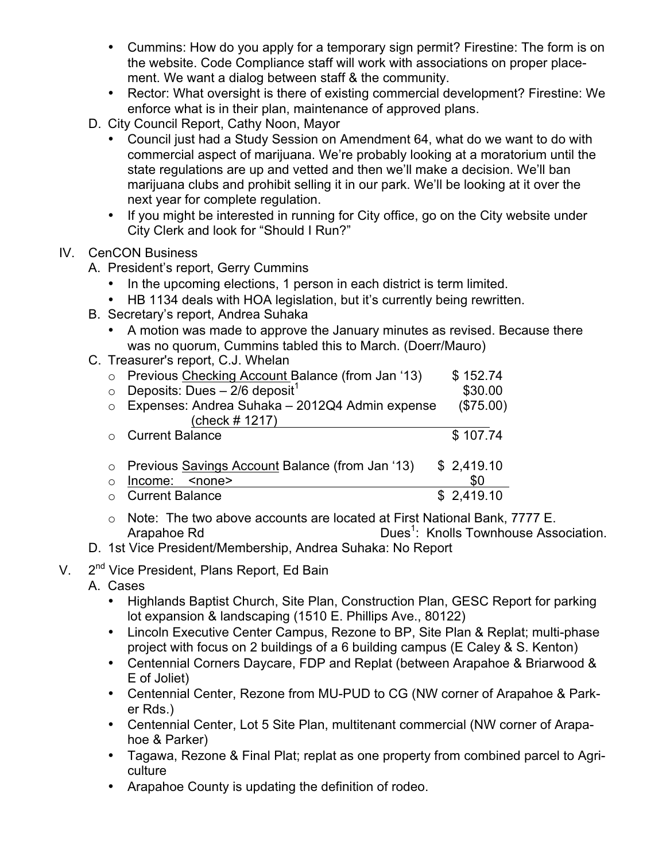- Cummins: How do you apply for a temporary sign permit? Firestine: The form is on the website. Code Compliance staff will work with associations on proper placement. We want a dialog between staff & the community.
- Rector: What oversight is there of existing commercial development? Firestine: We enforce what is in their plan, maintenance of approved plans.
- D. City Council Report, Cathy Noon, Mayor
	- Council just had a Study Session on Amendment 64, what do we want to do with commercial aspect of marijuana. We're probably looking at a moratorium until the state regulations are up and vetted and then we'll make a decision. We'll ban marijuana clubs and prohibit selling it in our park. We'll be looking at it over the next year for complete regulation.
	- If you might be interested in running for City office, go on the City website under City Clerk and look for "Should I Run?"

### IV. CenCON Business

- A. President's report, Gerry Cummins
	- In the upcoming elections, 1 person in each district is term limited.
	- HB 1134 deals with HOA legislation, but it's currently being rewritten.
- B. Secretary's report, Andrea Suhaka
	- A motion was made to approve the January minutes as revised. Because there was no quorum, Cummins tabled this to March. (Doerr/Mauro)
- C. Treasurer's report, C.J. Whelan

| $\circ$    | Previous Checking Account Balance (from Jan '13)  | \$152.74   |
|------------|---------------------------------------------------|------------|
| $\circ$    | Deposits: Dues $-2/6$ deposit <sup>1</sup>        | \$30.00    |
| $\bigcirc$ | Expenses: Andrea Suhaka - 2012Q4 Admin expense    | (\$75.00)  |
|            | (check # 1217)                                    |            |
|            | <b>Current Balance</b>                            | \$107.74   |
|            |                                                   |            |
|            | o Previous Savings Account Balance (from Jan '13) | \$2,419.10 |
| ∩          | Income:<br>$none$                                 | \$0        |
|            | <b>Current Balance</b>                            | \$2,419.10 |

- o Note: The two above accounts are located at First National Bank, 7777 E. Arapahoe Rd Dues<sup>1</sup>: Knolls Townhouse Association.
- D. 1st Vice President/Membership, Andrea Suhaka: No Report
- V. 2<sup>nd</sup> Vice President, Plans Report, Ed Bain
	- A. Cases
		- Highlands Baptist Church, Site Plan, Construction Plan, GESC Report for parking lot expansion & landscaping (1510 E. Phillips Ave., 80122)
		- Lincoln Executive Center Campus, Rezone to BP, Site Plan & Replat; multi-phase project with focus on 2 buildings of a 6 building campus (E Caley & S. Kenton)
		- Centennial Corners Daycare, FDP and Replat (between Arapahoe & Briarwood & E of Joliet)
		- Centennial Center, Rezone from MU-PUD to CG (NW corner of Arapahoe & Parker Rds.)
		- Centennial Center, Lot 5 Site Plan, multitenant commercial (NW corner of Arapahoe & Parker)
		- Tagawa, Rezone & Final Plat; replat as one property from combined parcel to Agriculture
		- Arapahoe County is updating the definition of rodeo.